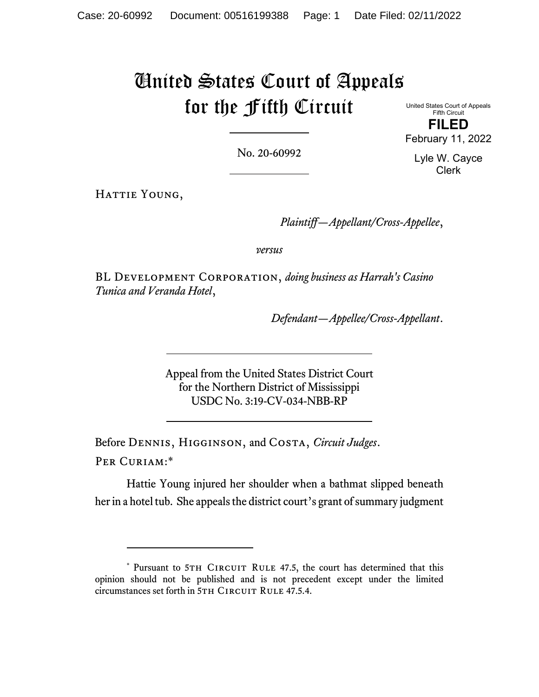# United States Court of Appeals for the Fifth Circuit

United States Court of Appeals Fifth Circuit **FILED**  February 11, 2022

> Lyle W. Cayce Clerk

No. 20-60992

HATTIE YOUNG,

*Plaintiff—Appellant/Cross-Appellee*,

*versus*

BL Development Corporation, *doing business as Harrah's Casino Tunica and Veranda Hotel*,

*Defendant—Appellee/Cross-Appellant*.

Appeal from the United States District Court for the Northern District of Mississippi USDC No. 3:19-CV-034-NBB-RP

Before Dennis, Higginson, and Costa, *Circuit Judges*. Per Curiam:\*

Hattie Young injured her shoulder when a bathmat slipped beneath her in a hotel tub. She appeals the district court's grant of summary judgment

<sup>\*</sup> Pursuant to 5TH CIRCUIT RULE 47.5, the court has determined that this opinion should not be published and is not precedent except under the limited circumstances set forth in 5TH CIRCUIT RULE 47.5.4.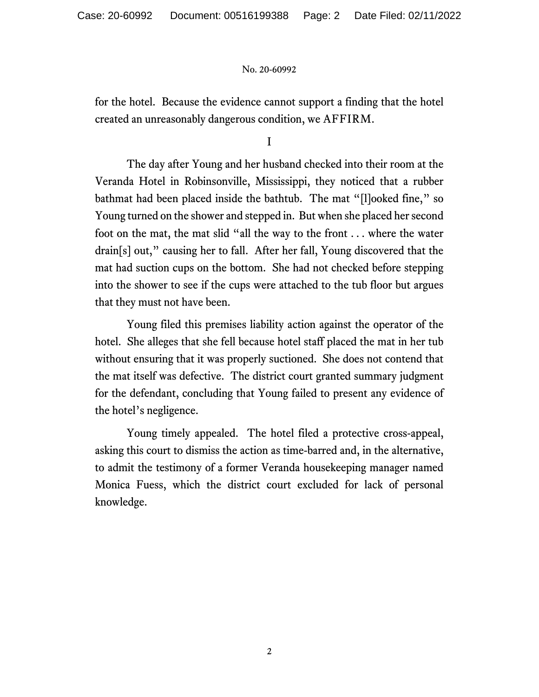for the hotel. Because the evidence cannot support a finding that the hotel created an unreasonably dangerous condition, we AFFIRM.

I

The day after Young and her husband checked into their room at the Veranda Hotel in Robinsonville, Mississippi, they noticed that a rubber bathmat had been placed inside the bathtub. The mat "[l]ooked fine," so Young turned on the shower and stepped in. But when she placed her second foot on the mat, the mat slid "all the way to the front . . . where the water drain[s] out," causing her to fall. After her fall, Young discovered that the mat had suction cups on the bottom. She had not checked before stepping into the shower to see if the cups were attached to the tub floor but argues that they must not have been.

Young filed this premises liability action against the operator of the hotel. She alleges that she fell because hotel staff placed the mat in her tub without ensuring that it was properly suctioned. She does not contend that the mat itself was defective. The district court granted summary judgment for the defendant, concluding that Young failed to present any evidence of the hotel's negligence.

Young timely appealed. The hotel filed a protective cross-appeal, asking this court to dismiss the action as time-barred and, in the alternative, to admit the testimony of a former Veranda housekeeping manager named Monica Fuess, which the district court excluded for lack of personal knowledge.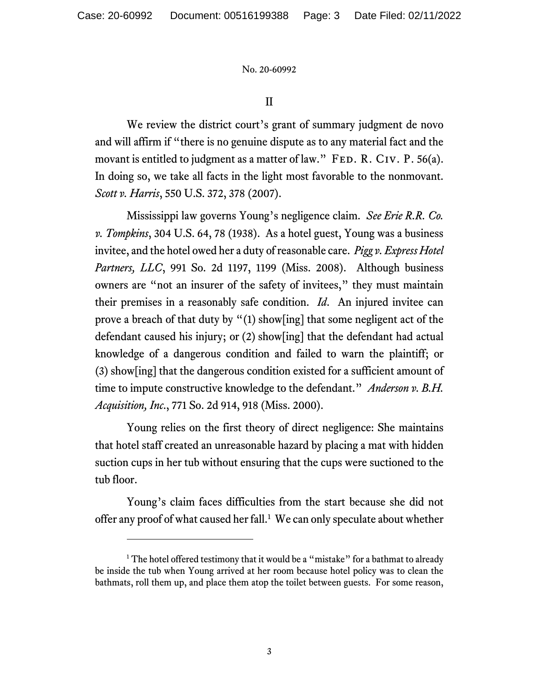II

We review the district court's grant of summary judgment de novo and will affirm if "there is no genuine dispute as to any material fact and the movant is entitled to judgment as a matter of law." FED. R. CIV. P. 56(a). In doing so, we take all facts in the light most favorable to the nonmovant. *Scott v. Harris*, 550 U.S. 372, 378 (2007).

Mississippi law governs Young's negligence claim. *See Erie R.R. Co. v. Tompkins*, 304 U.S. 64, 78 (1938). As a hotel guest, Young was a business invitee, and the hotel owed her a duty of reasonable care. *Pigg v. Express Hotel Partners, LLC*, 991 So. 2d 1197, 1199 (Miss. 2008). Although business owners are "not an insurer of the safety of invitees," they must maintain their premises in a reasonably safe condition. *Id*. An injured invitee can prove a breach of that duty by "(1) show[ing] that some negligent act of the defendant caused his injury; or (2) show[ing] that the defendant had actual knowledge of a dangerous condition and failed to warn the plaintiff; or (3) show[ing] that the dangerous condition existed for a sufficient amount of time to impute constructive knowledge to the defendant." *Anderson v. B.H. Acquisition, Inc*., 771 So. 2d 914, 918 (Miss. 2000).

Young relies on the first theory of direct negligence: She maintains that hotel staff created an unreasonable hazard by placing a mat with hidden suction cups in her tub without ensuring that the cups were suctioned to the tub floor.

Young's claim faces difficulties from the start because she did not offer any proof of what caused her fall.<sup>1</sup> We can only speculate about whether

<sup>&</sup>lt;sup>1</sup> The hotel offered testimony that it would be a "mistake" for a bathmat to already be inside the tub when Young arrived at her room because hotel policy was to clean the bathmats, roll them up, and place them atop the toilet between guests. For some reason,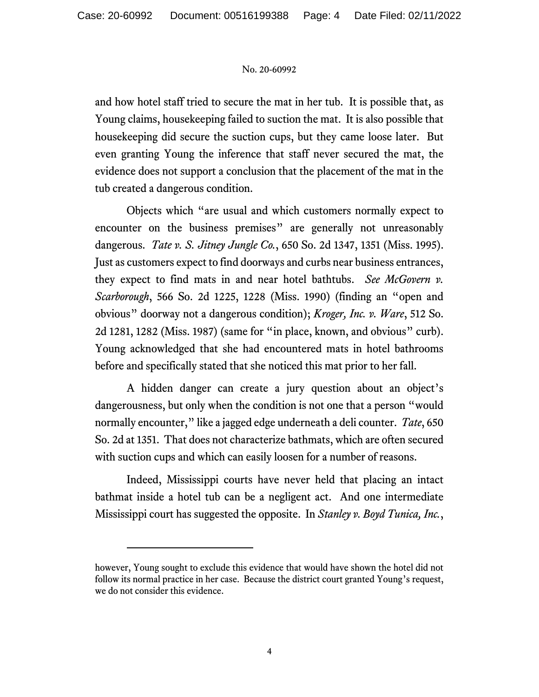and how hotel staff tried to secure the mat in her tub. It is possible that, as Young claims, housekeeping failed to suction the mat. It is also possible that housekeeping did secure the suction cups, but they came loose later. But even granting Young the inference that staff never secured the mat, the evidence does not support a conclusion that the placement of the mat in the tub created a dangerous condition.

Objects which "are usual and which customers normally expect to encounter on the business premises" are generally not unreasonably dangerous. *Tate v. S. Jitney Jungle Co.*, 650 So. 2d 1347, 1351 (Miss. 1995). Just as customers expect to find doorways and curbs near business entrances, they expect to find mats in and near hotel bathtubs. *See McGovern v. Scarborough*, 566 So. 2d 1225, 1228 (Miss. 1990) (finding an "open and obvious" doorway not a dangerous condition); *Kroger, Inc. v. Ware*, 512 So. 2d 1281, 1282 (Miss. 1987) (same for "in place, known, and obvious" curb). Young acknowledged that she had encountered mats in hotel bathrooms before and specifically stated that she noticed this mat prior to her fall.

A hidden danger can create a jury question about an object's dangerousness, but only when the condition is not one that a person "would normally encounter," like a jagged edge underneath a deli counter. *Tate*, 650 So. 2d at 1351. That does not characterize bathmats, which are often secured with suction cups and which can easily loosen for a number of reasons.

Indeed, Mississippi courts have never held that placing an intact bathmat inside a hotel tub can be a negligent act. And one intermediate Mississippi court has suggested the opposite. In *Stanley v. Boyd Tunica, Inc.*,

however, Young sought to exclude this evidence that would have shown the hotel did not follow its normal practice in her case. Because the district court granted Young's request, we do not consider this evidence.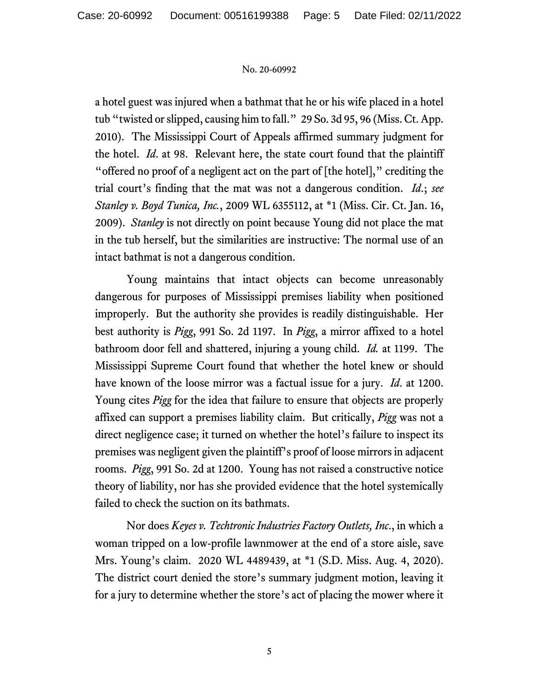a hotel guest was injured when a bathmat that he or his wife placed in a hotel tub "twisted or slipped, causing him to fall." 29 So. 3d 95, 96 (Miss. Ct. App. 2010). The Mississippi Court of Appeals affirmed summary judgment for the hotel. *Id*. at 98. Relevant here, the state court found that the plaintiff "offered no proof of a negligent act on the part of [the hotel]," crediting the trial court's finding that the mat was not a dangerous condition. *Id*.; *see Stanley v. Boyd Tunica, Inc.*, 2009 WL 6355112, at \*1 (Miss. Cir. Ct. Jan. 16, 2009). *Stanley* is not directly on point because Young did not place the mat in the tub herself, but the similarities are instructive: The normal use of an intact bathmat is not a dangerous condition.

Young maintains that intact objects can become unreasonably dangerous for purposes of Mississippi premises liability when positioned improperly. But the authority she provides is readily distinguishable. Her best authority is *Pigg*, 991 So. 2d 1197. In *Pigg*, a mirror affixed to a hotel bathroom door fell and shattered, injuring a young child. *Id.* at 1199. The Mississippi Supreme Court found that whether the hotel knew or should have known of the loose mirror was a factual issue for a jury. *Id*. at 1200. Young cites *Pigg* for the idea that failure to ensure that objects are properly affixed can support a premises liability claim. But critically, *Pigg* was not a direct negligence case; it turned on whether the hotel's failure to inspect its premises was negligent given the plaintiff's proof of loose mirrors in adjacent rooms. *Pigg*, 991 So. 2d at 1200. Young has not raised a constructive notice theory of liability, nor has she provided evidence that the hotel systemically failed to check the suction on its bathmats.

Nor does *Keyes v. Techtronic Industries Factory Outlets, Inc*., in which a woman tripped on a low-profile lawnmower at the end of a store aisle, save Mrs. Young's claim. 2020 WL 4489439, at \*1 (S.D. Miss. Aug. 4, 2020). The district court denied the store's summary judgment motion, leaving it for a jury to determine whether the store's act of placing the mower where it